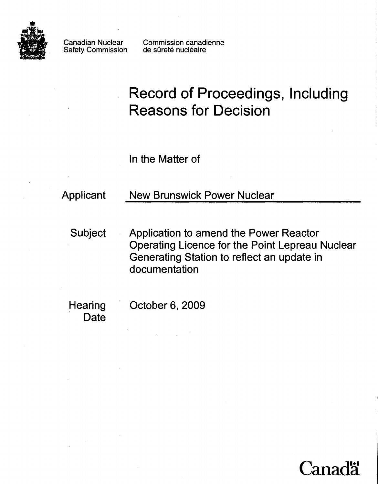

Safety Commission

Canadian Nuclear Commission canadienne<br>Safety Commission de sûreté nucléaire

# **Record of Proceedings, Including Reasons for Decision**

In the Matter of

Applicant New Brunswick Power Nuclear

Subject Application to amend the Power Reactor Operating Licence for the Point Lepreau Nuclear Generating Station to reflect an update in documentation

**Date** 

Hearing October 6, 2009

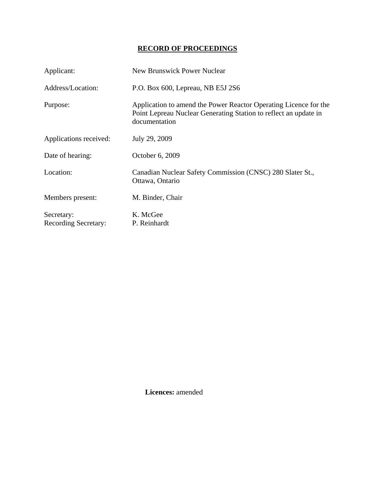# **RECORD OF PROCEEDINGS**

| Applicant:                                | <b>New Brunswick Power Nuclear</b>                                                                                                                    |
|-------------------------------------------|-------------------------------------------------------------------------------------------------------------------------------------------------------|
| Address/Location:                         | P.O. Box 600, Lepreau, NB E5J 2S6                                                                                                                     |
| Purpose:                                  | Application to amend the Power Reactor Operating Licence for the<br>Point Lepreau Nuclear Generating Station to reflect an update in<br>documentation |
| Applications received:                    | July 29, 2009                                                                                                                                         |
| Date of hearing:                          | October 6, 2009                                                                                                                                       |
| Location:                                 | Canadian Nuclear Safety Commission (CNSC) 280 Slater St.,<br>Ottawa, Ontario                                                                          |
| Members present:                          | M. Binder, Chair                                                                                                                                      |
| Secretary:<br><b>Recording Secretary:</b> | K. McGee<br>P. Reinhardt                                                                                                                              |

 **Licences:** amended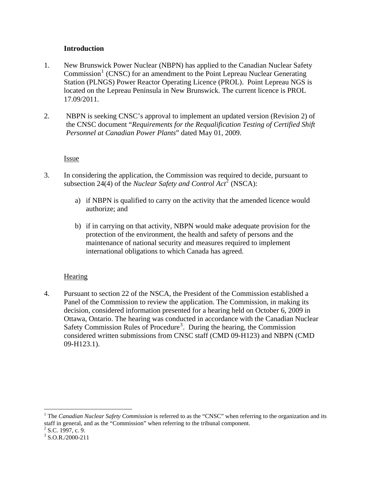# **Introduction**

- <span id="page-3-0"></span>1. New Brunswick Power Nuclear (NBPN) has applied to the Canadian Nuclear Safety Commission<sup>[1](#page-3-1)</sup> (CNSC) for an amendment to the Point Lepreau Nuclear Generating Station (PLNGS) Power Reactor Operating Licence (PROL). Point Lepreau NGS is located on the Lepreau Peninsula in New Brunswick. The current licence is PROL 17.09/2011.
- 2. NBPN is seeking CNSC's approval to implement an updated version (Revision 2) of the CNSC document "*Requirements for the Requalification Testing of Certified Shift Personnel at Canadian Power Plants*" dated May 01, 2009.

# **Issue**

- 3. In considering the application, the Commission was required to decide, pursuant to subsection [2](#page-3-2)4(4) of the *Nuclear Safety and Control Act*<sup>2</sup> (NSCA):
	- a) if NBPN is qualified to carry on the activity that the amended licence would authorize; and
	- b) if in carrying on that activity, NBPN would make adequate provision for the protection of the environment, the health and safety of persons and the maintenance of national security and measures required to implement international obligations to which Canada has agreed.

# Hearing

4. Pursuant to section 22 of the NSCA, the President of the Commission established a Panel of the Commission to review the application. The Commission, in making its decision, considered information presented for a hearing held on October 6, 2009 in Ottawa, Ontario. The hearing was conducted in accordance with the Canadian Nuclear Safety Commission Rules of Procedure<sup>[3](#page-3-3)</sup>. During the hearing, the Commission considered written submissions from CNSC staff (CMD 09-H123) and NBPN (CMD 09-H123.1).

<u>.</u>

<span id="page-3-1"></span><sup>&</sup>lt;sup>1</sup> The *Canadian Nuclear Safety Commission* is referred to as the "CNSC" when referring to the organization and its staff in general, and as the "Commission" when referring to the tribunal component.

<span id="page-3-2"></span> $2$  S.C. 1997, c. 9.

<span id="page-3-3"></span> $3$  S.O.R./2000-211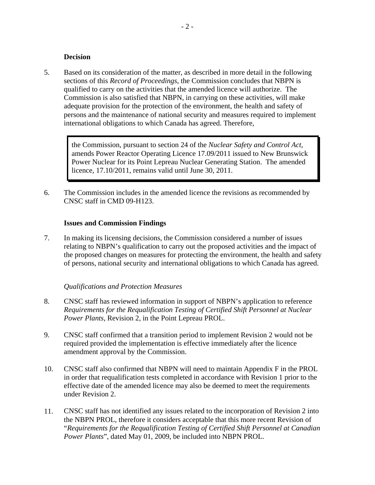#### **Decision**

<span id="page-4-0"></span>5. Based on its consideration of the matter, as described in more detail in the following sections of this *Record of Proceedings*, the Commission concludes that NBPN is qualified to carry on the activities that the amended licence will authorize. The Commission is also satisfied that NBPN, in carrying on these activities, will make adequate provision for the protection of the environment, the health and safety of persons and the maintenance of national security and measures required to implement international obligations to which Canada has agreed. Therefore,

> the Commission, pursuant to section 24 of the *Nuclear Safety and Control Act*, amends Power Reactor Operating Licence 17.09/2011 issued to New Brunswick Power Nuclear for its Point Lepreau Nuclear Generating Station. The amended licence, 17.10/2011, remains valid until June 30, 2011.

6. The Commission includes in the amended licence the revisions as recommended by CNSC staff in CMD 09-H123.

#### **Issues and Commission Findings**

7. In making its licensing decisions, the Commission considered a number of issues relating to NBPN's qualification to carry out the proposed activities and the impact of the proposed changes on measures for protecting the environment, the health and safety of persons, national security and international obligations to which Canada has agreed.

#### *Qualifications and Protection Measures*

- 8. CNSC staff has reviewed information in support of NBPN's application to reference *Requirements for the Requalification Testing of Certified Shift Personnel at Nuclear Power Plants*, Revision 2, in the Point Lepreau PROL.
- 9. CNSC staff confirmed that a transition period to implement Revision 2 would not be required provided the implementation is effective immediately after the licence amendment approval by the Commission.
- 10. CNSC staff also confirmed that NBPN will need to maintain Appendix F in the PROL in order that requalification tests completed in accordance with Revision 1 prior to the effective date of the amended licence may also be deemed to meet the requirements under Revision 2.
- 11. CNSC staff has not identified any issues related to the incorporation of Revision 2 into the NBPN PROL, therefore it considers acceptable that this more recent Revision of "*Requirements for the Requalification Testing of Certified Shift Personnel at Canadian Power Plants*", dated May 01, 2009, be included into NBPN PROL.